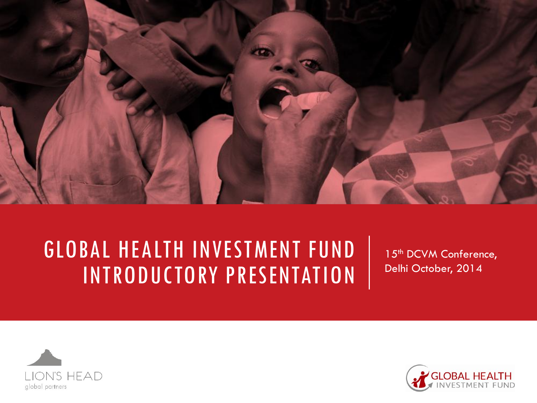

### GLOBAL HEALTH INVESTMENT FUND INTRODUCTORY PRESENTATION

15<sup>th</sup> DCVM Conference, Delhi October, 2014



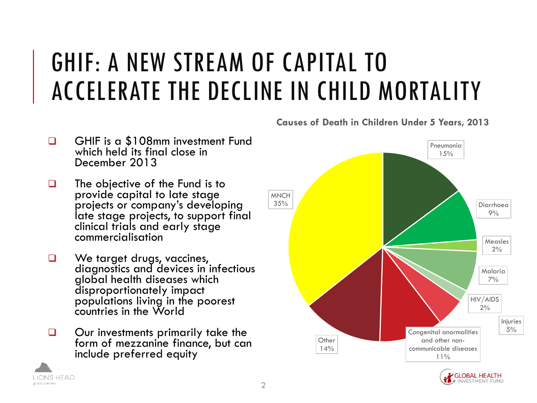### GHIF: A NEW STREAM OF CAPITAL TO ACCELERATE THE DECLINE IN CHILD MORTALITY

- GHIF is a \$108mm investment Fund which held its final close in December 2013
- $\Box$  The objective of the Fund is to provide capital to late stage projects or company's developing late stage projects, to support final clinical trials and early stage commercialisation
- We target drugs, vaccines, diagnostics and devices in infectious global health diseases which disproportionately impact populations living in the poorest countries in the World
- Our investments primarily take the form of mezzanine finance, but can include preferred equity

LION'S HEAD

global partners





**Causes of Death in Children Under 5 Years, 2013**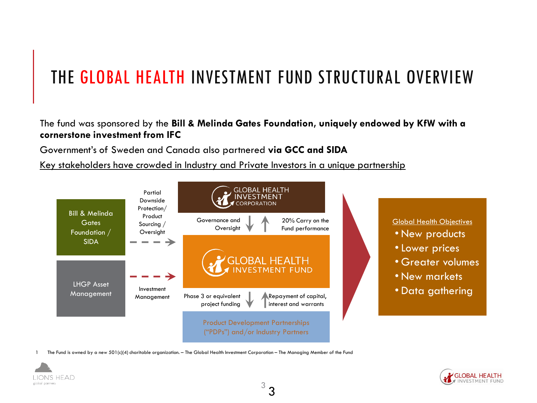### THE GLOBAL HEALTH INVESTMENT FUND STRUCTURAL OVERVIEW

#### The fund was sponsored by the **Bill & Melinda Gates Foundation, uniquely endowed by KfW with a cornerstone investment from IFC**

Government's of Sweden and Canada also partnered **via GCC and SIDA**

Key stakeholders have crowded in Industry and Private Investors in a unique partnership



1 The Fund is owned by a new 501(c)(4) charitable organization. – The Global Health Investment Corporation – The Managing Member of the Fund



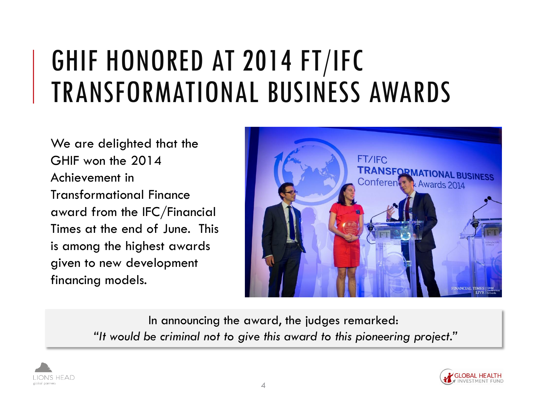### GHIF HONORED AT 2014 FT/IFC TRANSFORMATIONAL BUSINESS AWARDS

We are delighted that the GHIF won the 2014 Achievement in Transformational Finance award from the IFC/Financial Times at the end of June. This is among the highest awards given to new development financing models.



In announcing the award, the judges remarked: *"It would be criminal not to give this award to this pioneering project."*



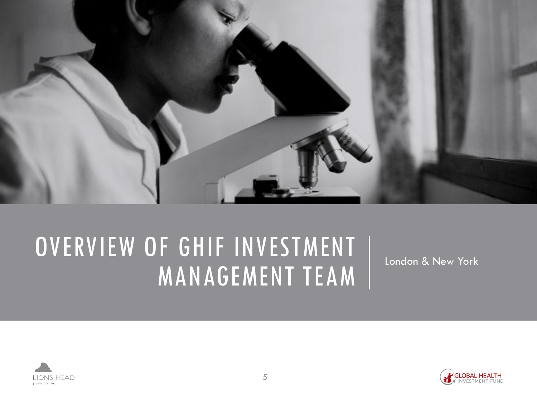

### OVERVIEW OF GHIF INVESTMENT MANAGEMENT TEAM

London & New York



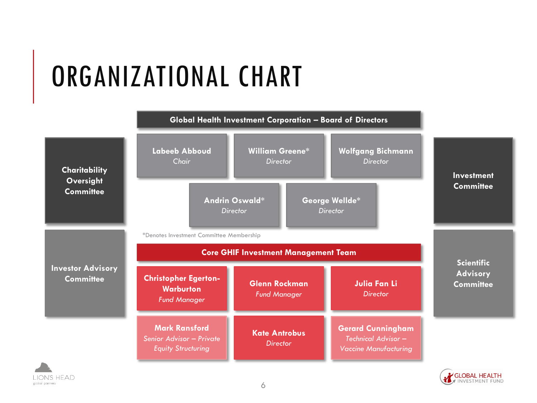# ORGANIZATIONAL CHART





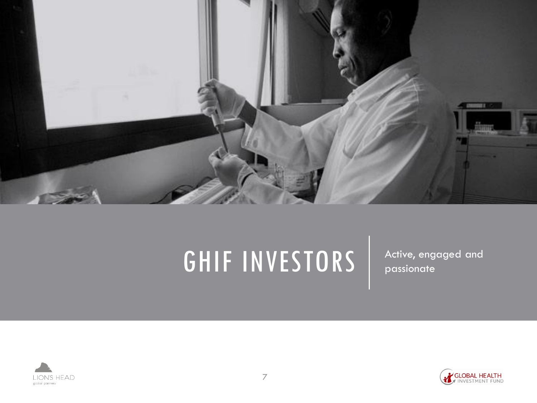

### GHIF INVESTORS | Active, engaged and



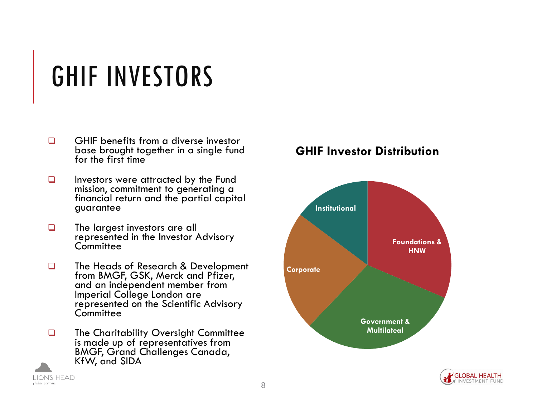## GHIF INVESTORS

- $\Box$  GHIF benefits from a diverse investor base brought together in a single fund for the first time
- $\Box$  Investors were attracted by the Fund mission, commitment to generating a financial return and the partial capital guarantee
- $\Box$  The largest investors are all represented in the Investor Advisory **Committee**
- **The Heads of Research & Development** from BMGF, GSK, Merck and Pfizer, and an independent member from Imperial College London are represented on the Scientific Advisory **Committee**
- **The Charitability Oversight Committee** is made up of representatives from BMGF, Grand Challenges Canada, KfW, and SIDA

LION'S HEAD

global partners

#### **GHIF Investor Distribution**



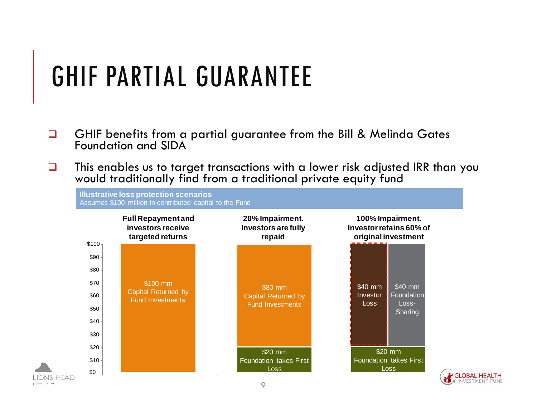### GHIF PARTIAL GUARANTEE

global partners

- **GHIF** benefits from a partial guarantee from the Bill & Melinda Gates Foundation and SIDA
- $\Box$  This enables us to target transactions with a lower risk adjusted IRR than you would traditionally find from a traditional private equity fund



GLOBAL HEALTH INVESTMENT FUND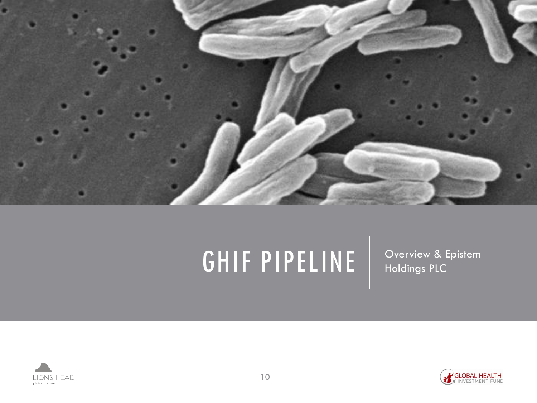

# GHIF PIPELINE | Overview & Epistem



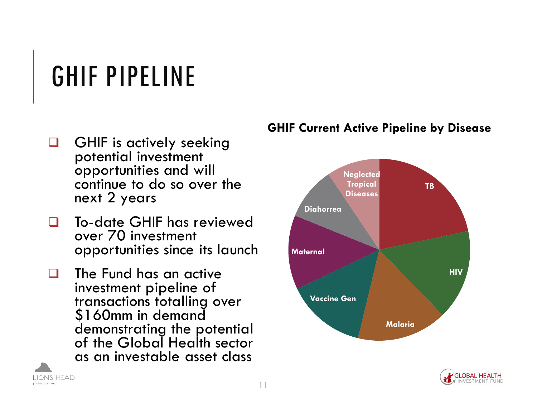# GHIF PIPELINE

- GHIF is actively seeking potential investment opportunities and will continue to do so over the next 2 years
- To-date GHIF has reviewed over 70 investment opportunities since its launch
- $\Box$  The Fund has an active investment pipeline of transactions totalling over \$160mm in demand demonstrating the potential of the Global Health sector as an investable asset class

LION'S HEAD

global partners

#### **GHIF Current Active Pipeline by Disease**



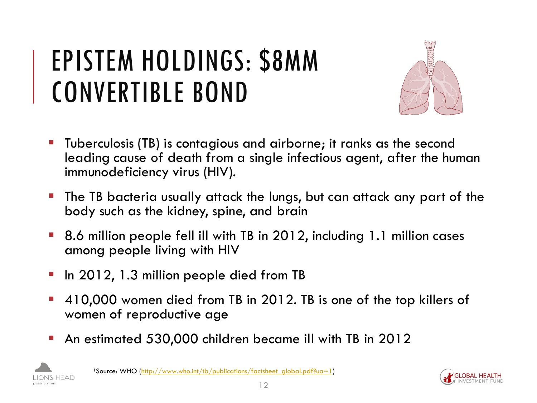## EPISTEM HOLDINGS: \$8MM CONVERTIBLE BOND



- Tuberculosis (TB) is contagious and airborne; it ranks as the second leading cause of death from a single infectious agent, after the human immunodeficiency virus (HIV).
- The TB bacteria usually attack the lungs, but can attack any part of the body such as the kidney, spine, and brain
- 8.6 million people fell ill with TB in 2012, including 1.1 million cases among people living with HIV
- In 2012, 1.3 million people died from TB
- 410,000 women died from TB in 2012. TB is one of the top killers of women of reproductive age
- An estimated 530,000 children became ill with TB in 2012



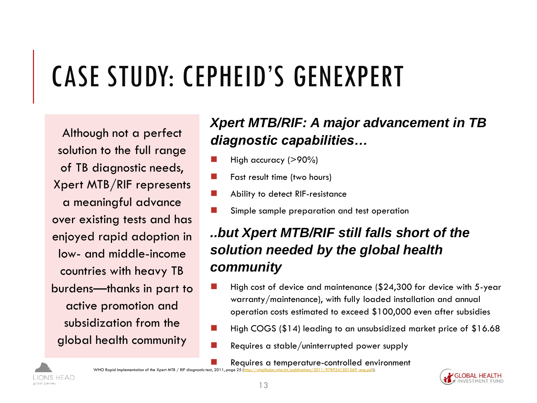# CASE STUDY: CEPHEID'S GENEXPERT

Although not a perfect solution to the full range of TB diagnostic needs, Xpert MTB/RIF represents a meaningful advance over existing tests and has enjoyed rapid adoption in low- and middle-income countries with heavy TB burdens—thanks in part to active promotion and subsidization from the global health community

### *Xpert MTB/RIF: A major advancement in TB diagnostic capabilities…*

- High accuracy (>90%)
- Fast result time (two hours)
- Ability to detect RIF-resistance
- Simple sample preparation and test operation

### *..but Xpert MTB/RIF still falls short of the solution needed by the global health community*

- High cost of device and maintenance (\$24,300 for device with 5-year warranty/maintenance), with fully loaded installation and annual operation costs estimated to exceed \$100,000 even after subsidies
- High COGS (\$14) leading to an unsubsidized market price of \$16.68
- Requires a stable/uninterrupted power supply

 Requires a temperature-controlled environment WHO Rapid Implementation of the Xpert MTB / RIF diagnostic test, 2011, page 25



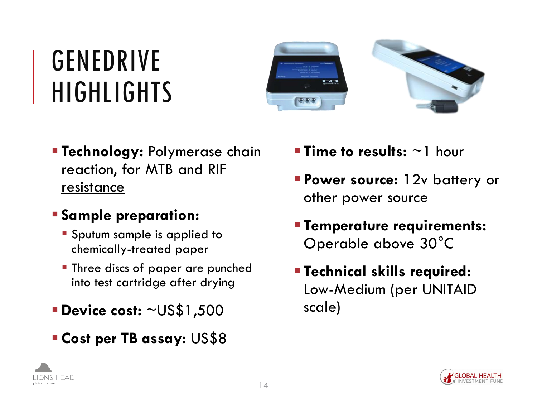### GENEDRIVE HIGHLIGHTS



 **Technology:** Polymerase chain reaction, for MTB and RIF resistance

### **Sample preparation:**

- **Sputum sample is applied to** chemically-treated paper
- **Three discs of paper are punched** into test cartridge after drying
- **Device cost:** ~US\$1,500
- **Cost per TB assay:** US\$8
- **Time to results:** ~1 hour
- **Power source:** 12v battery or other power source
- **Temperature requirements:** Operable above 30°C
- **Technical skills required:**  Low-Medium (per UNITAID scale)

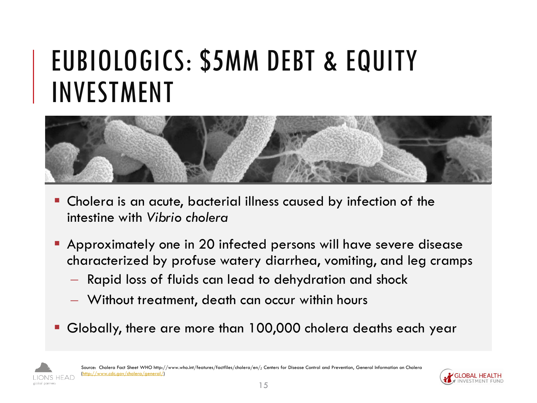### EUBIOLOGICS: \$5MM DEBT & EQUITY INVESTMENT



- Cholera is an acute, bacterial illness caused by infection of the intestine with *Vibrio cholera*
- Approximately one in 20 infected persons will have severe disease characterized by profuse watery diarrhea, vomiting, and leg cramps
	- Rapid loss of fluids can lead to dehydration and shock
	- Without treatment, death can occur within hours
- Globally, there are more than 100,000 cholera deaths each year



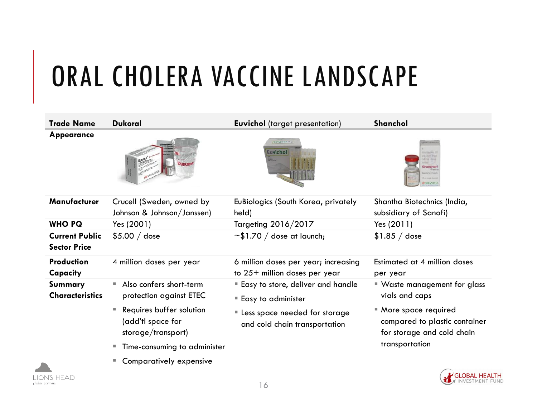# ORAL CHOLERA VACCINE LANDSCAPE

| <b>Trade Name</b>                            | <b>Dukoral</b>                                                           | <b>Euvichol</b> (target presentation)                                 | Shanchol                                                                             |
|----------------------------------------------|--------------------------------------------------------------------------|-----------------------------------------------------------------------|--------------------------------------------------------------------------------------|
| <b>Appearance</b>                            |                                                                          | 10491003<br><b>Euvichol</b>                                           | <b>hancholt</b><br><b>CONSTITUTE</b>                                                 |
| Manufacturer                                 | Crucell (Sweden, owned by<br>Johnson & Johnson/Janssen)                  | EuBiologics (South Korea, privately<br>held)                          | Shantha Biotechnics (India,<br>subsidiary of Sanofi)                                 |
| <b>WHO PQ</b>                                | Yes (2001)                                                               | Targeting 2016/2017                                                   | Yes (2011)                                                                           |
| <b>Current Public</b><br><b>Sector Price</b> | $$5.00 /$ dose                                                           | $\sim$ \$1.70 / dose at launch;                                       | $$1.85 /$ dose                                                                       |
| <b>Production</b><br>Capacity                | 4 million doses per year                                                 | 6 million doses per year; increasing<br>to 25+ million doses per year | Estimated at 4 million doses<br>per year                                             |
| Summary                                      | Also confers short-term<br><b>College</b>                                | Easy to store, deliver and handle                                     | ■ Waste management for glass                                                         |
| <b>Characteristics</b>                       | protection against ETEC                                                  | <b>Easy to administer</b>                                             | vials and caps                                                                       |
|                                              | Requires buffer solution<br>٠<br>(add'tl space for<br>storage/transport) | Less space needed for storage<br>and cold chain transportation        | ■ More space required<br>compared to plastic container<br>for storage and cold chain |
|                                              | Time-consuming to administer<br>ш                                        |                                                                       | transportation                                                                       |
|                                              | Comparatively expensive<br>ш                                             |                                                                       |                                                                                      |